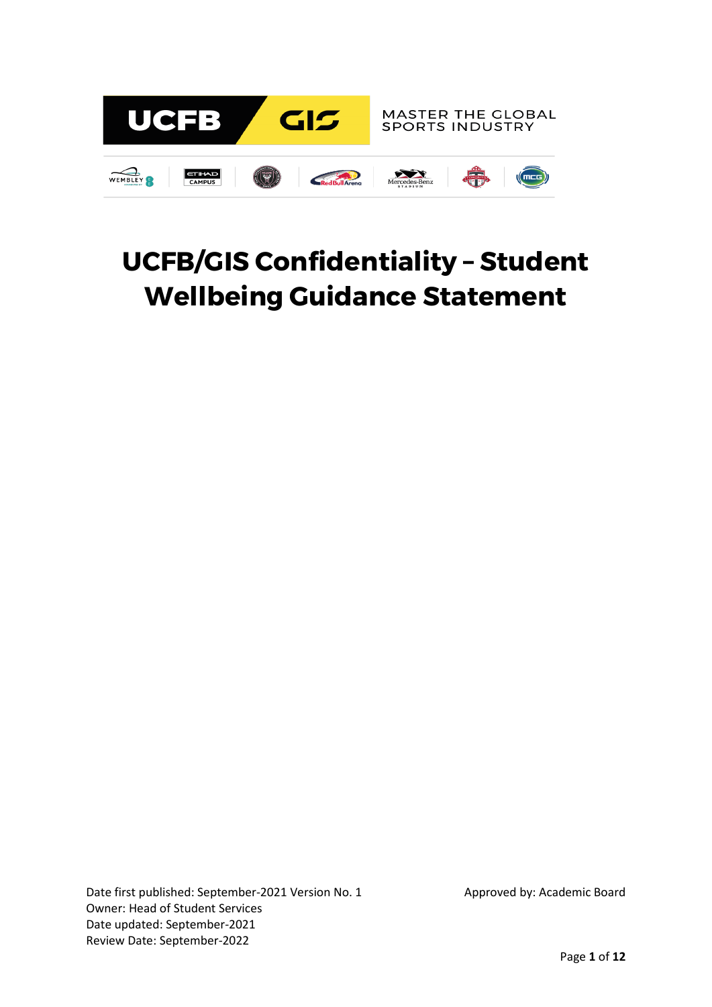

# **UCFB/GIS Confidentiality – Student Wellbeing Guidance Statement**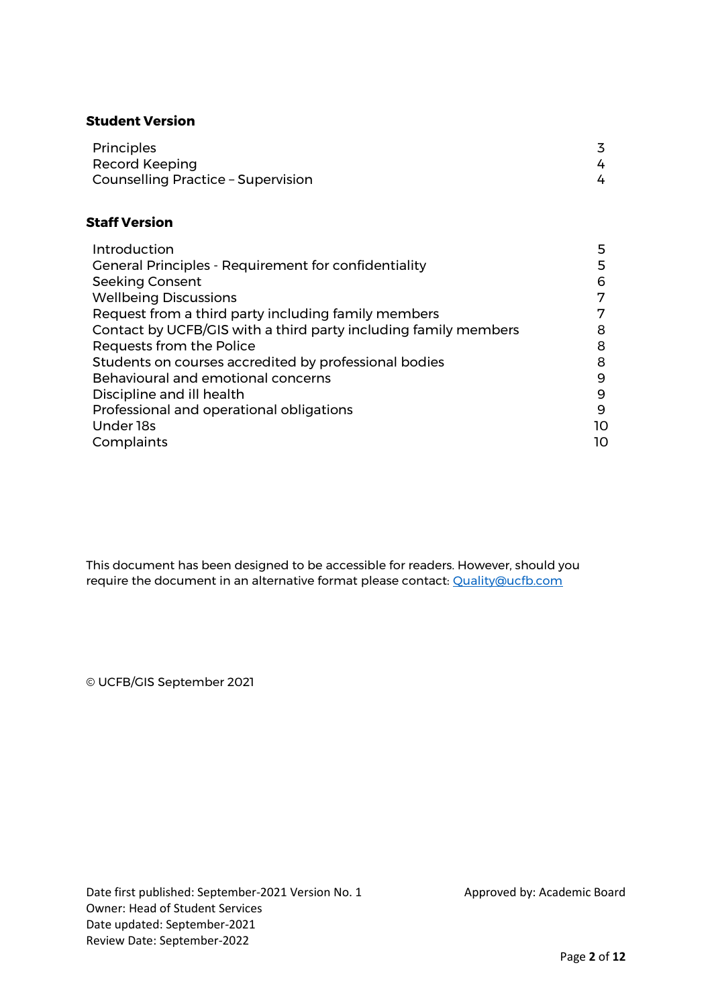#### **Student Version**

| <b>Principles</b>                  |  |  |
|------------------------------------|--|--|
| Record Keeping                     |  |  |
| Counselling Practice - Supervision |  |  |

## **Staff Version**

| Introduction                                                    | 5  |
|-----------------------------------------------------------------|----|
| <b>General Principles - Requirement for confidentiality</b>     | 5  |
| <b>Seeking Consent</b>                                          | 6  |
| <b>Wellbeing Discussions</b>                                    | 7  |
| Request from a third party including family members             | 7  |
| Contact by UCFB/GIS with a third party including family members | 8  |
| Requests from the Police                                        | 8  |
| Students on courses accredited by professional bodies           | 8  |
| Behavioural and emotional concerns                              | 9  |
| Discipline and ill health                                       | 9  |
| Professional and operational obligations                        | 9  |
| Under 18s                                                       | 10 |
| Complaints                                                      | 10 |

This document has been designed to be accessible for readers. However, should you require the document in an alternative format please contact: [Quality@ucfb.com](mailto:Quality@ucfb.com)

© UCFB/GIS September 2021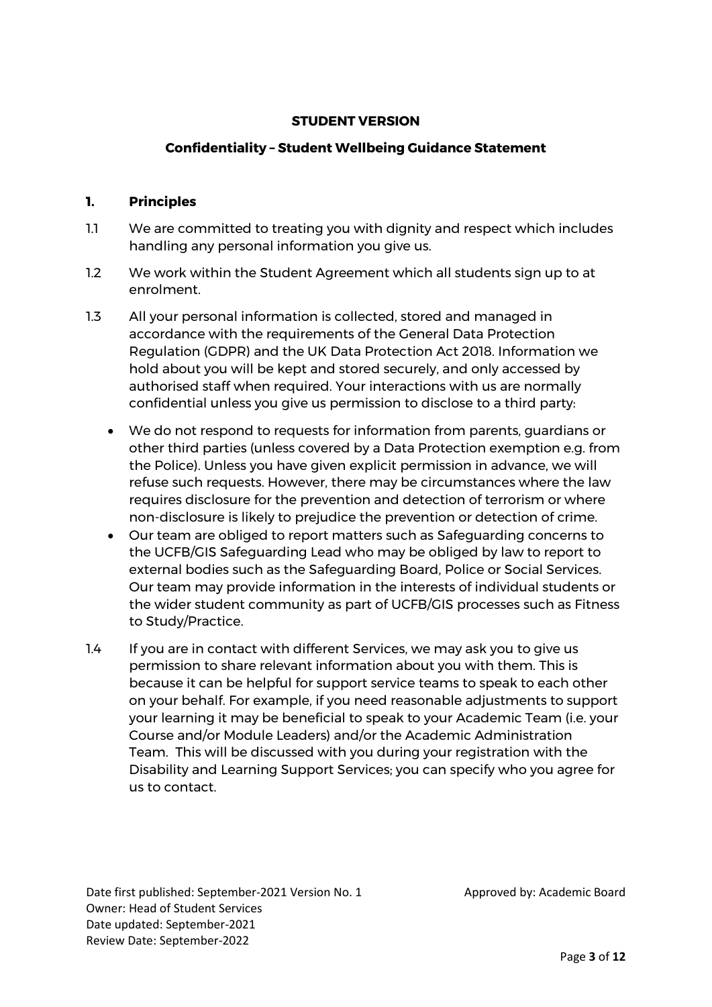# **STUDENT VERSION**

#### **Confidentiality – Student Wellbeing Guidance Statement**

#### **1. Principles**

- 1.1 We are committed to treating you with dignity and respect which includes handling any personal information you give us.
- 1.2 We work within the Student Agreement which all students sign up to at enrolment.
- 1.3 All your personal information is collected, stored and managed in accordance with the requirements of the General Data Protection Regulation (GDPR) and the UK Data Protection Act 2018. Information we hold about you will be kept and stored securely, and only accessed by authorised staff when required. Your interactions with us are normally confidential unless you give us permission to disclose to a third party:
	- We do not respond to requests for information from parents, guardians or other third parties (unless covered by a Data Protection exemption e.g. from the Police). Unless you have given explicit permission in advance, we will refuse such requests. However, there may be circumstances where the law requires disclosure for the prevention and detection of terrorism or where non-disclosure is likely to prejudice the prevention or detection of crime.
	- Our team are obliged to report matters such as Safeguarding concerns to the UCFB/GIS Safeguarding Lead who may be obliged by law to report to external bodies such as the Safeguarding Board, Police or Social Services. Our team may provide information in the interests of individual students or the wider student community as part of UCFB/GIS processes such as Fitness to Study/Practice.
- 1.4 If you are in contact with different Services, we may ask you to give us permission to share relevant information about you with them. This is because it can be helpful for support service teams to speak to each other on your behalf. For example, if you need reasonable adjustments to support your learning it may be beneficial to speak to your Academic Team (i.e. your Course and/or Module Leaders) and/or the Academic Administration Team. This will be discussed with you during your registration with the Disability and Learning Support Services; you can specify who you agree for us to contact.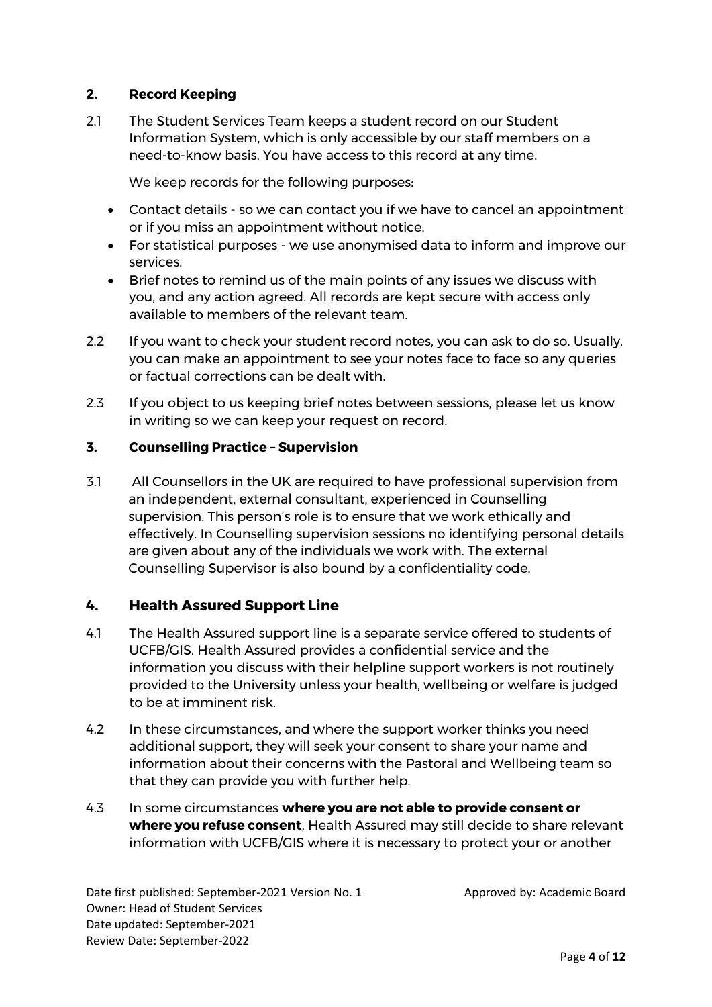# **2. Record Keeping**

2.1 The Student Services Team keeps a student record on our Student Information System, which is only accessible by our staff members on a need-to-know basis. You have access to this record at any time.

We keep records for the following purposes:

- Contact details so we can contact you if we have to cancel an appointment or if you miss an appointment without notice.
- For statistical purposes we use anonymised data to inform and improve our services.
- Brief notes to remind us of the main points of any issues we discuss with you, and any action agreed. All records are kept secure with access only available to members of the relevant team.
- 2.2 If you want to check your student record notes, you can ask to do so. Usually, you can make an appointment to see your notes face to face so any queries or factual corrections can be dealt with.
- 2.3 If you object to us keeping brief notes between sessions, please let us know in writing so we can keep your request on record.

## **3. Counselling Practice – Supervision**

3.1 All Counsellors in the UK are required to have professional supervision from an independent, external consultant, experienced in Counselling supervision. This person's role is to ensure that we work ethically and effectively. In Counselling supervision sessions no identifying personal details are given about any of the individuals we work with. The external Counselling Supervisor is also bound by a confidentiality code.

# **4. Health Assured Support Line**

- 4.1 The Health Assured support line is a separate service offered to students of UCFB/GIS. Health Assured provides a confidential service and the information you discuss with their helpline support workers is not routinely provided to the University unless your health, wellbeing or welfare is judged to be at imminent risk.
- 4.2 In these circumstances, and where the support worker thinks you need additional support, they will seek your consent to share your name and information about their concerns with the Pastoral and Wellbeing team so that they can provide you with further help.
- 4.3 In some circumstances **where you are not able to provide consent or where you refuse consent**, Health Assured may still decide to share relevant information with UCFB/GIS where it is necessary to protect your or another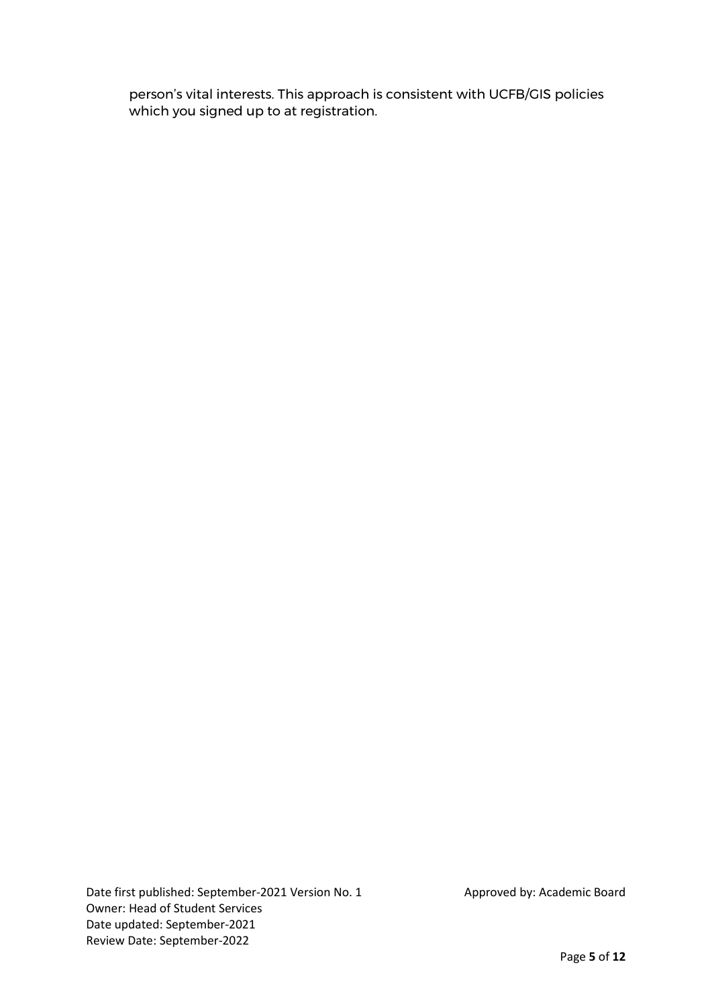person's vital interests. This approach is consistent with UCFB/GIS policies which you signed up to at registration.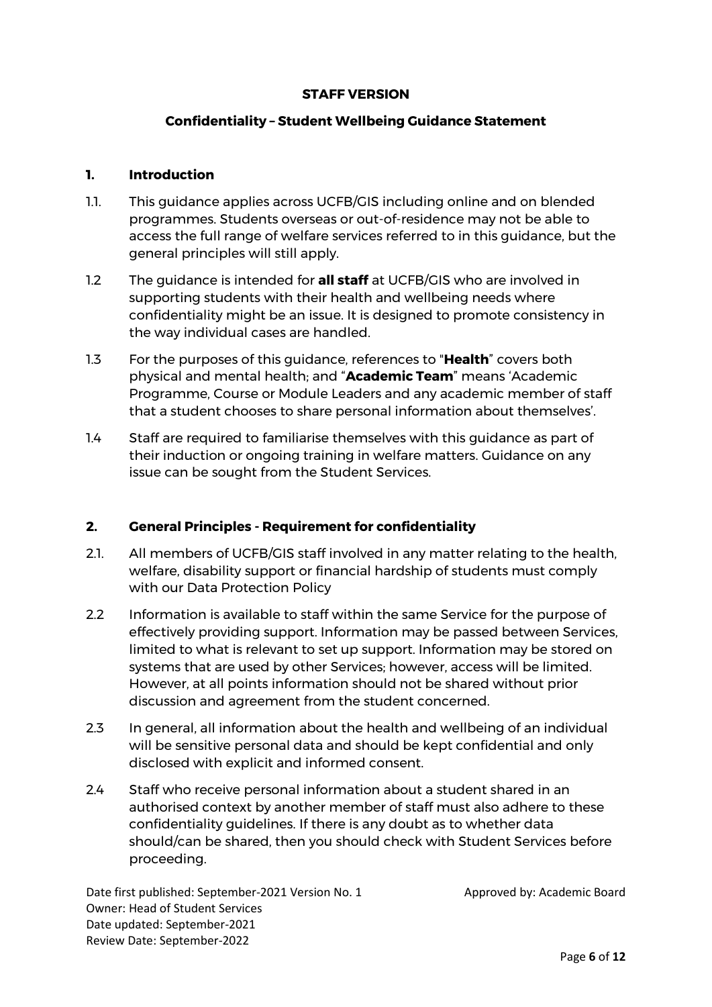#### **STAFF VERSION**

# **Confidentiality – Student Wellbeing Guidance Statement**

#### **1. Introduction**

- 1.1. This guidance applies across UCFB/GIS including online and on blended programmes. Students overseas or out-of-residence may not be able to access the full range of welfare services referred to in this guidance, but the general principles will still apply.
- 1.2 The guidance is intended for **all staff** at UCFB/GIS who are involved in supporting students with their health and wellbeing needs where confidentiality might be an issue. It is designed to promote consistency in the way individual cases are handled.
- 1.3 For the purposes of this guidance, references to "**Health**" covers both physical and mental health; and "**Academic Team**" means 'Academic Programme, Course or Module Leaders and any academic member of staff that a student chooses to share personal information about themselves'.
- 1.4 Staff are required to familiarise themselves with this guidance as part of their induction or ongoing training in welfare matters. Guidance on any issue can be sought from the Student Services.

# **2. General Principles - Requirement for confidentiality**

- 2.1. All members of UCFB/GIS staff involved in any matter relating to the health, welfare, disability support or financial hardship of students must comply with our Data Protection Policy
- 2.2 Information is available to staff within the same Service for the purpose of effectively providing support. Information may be passed between Services, limited to what is relevant to set up support. Information may be stored on systems that are used by other Services; however, access will be limited. However, at all points information should not be shared without prior discussion and agreement from the student concerned.
- 2.3 In general, all information about the health and wellbeing of an individual will be sensitive personal data and should be kept confidential and only disclosed with explicit and informed consent.
- 2.4 Staff who receive personal information about a student shared in an authorised context by another member of staff must also adhere to these confidentiality guidelines. If there is any doubt as to whether data should/can be shared, then you should check with Student Services before proceeding.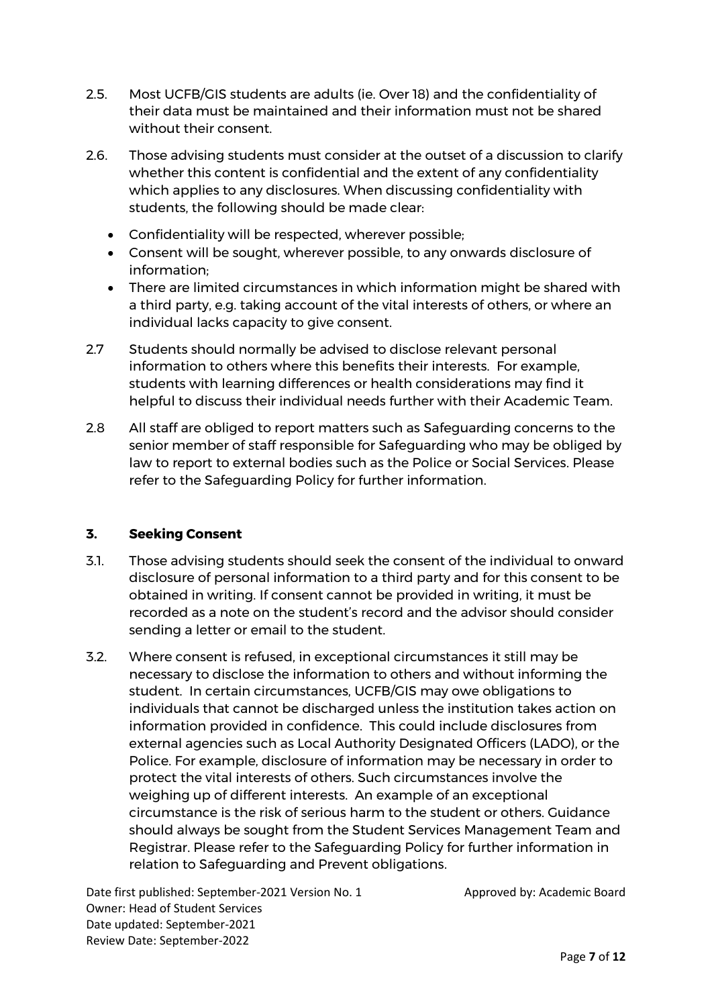- 2.5. Most UCFB/GIS students are adults (ie. Over 18) and the confidentiality of their data must be maintained and their information must not be shared without their consent.
- 2.6. Those advising students must consider at the outset of a discussion to clarify whether this content is confidential and the extent of any confidentiality which applies to any disclosures. When discussing confidentiality with students, the following should be made clear:
	- Confidentiality will be respected, wherever possible;
	- Consent will be sought, wherever possible, to any onwards disclosure of information;
	- There are limited circumstances in which information might be shared with a third party, e.g. taking account of the vital interests of others, or where an individual lacks capacity to give consent.
- 2.7 Students should normally be advised to disclose relevant personal information to others where this benefits their interests. For example, students with learning differences or health considerations may find it helpful to discuss their individual needs further with their Academic Team.
- 2.8 All staff are obliged to report matters such as Safeguarding concerns to the senior member of staff responsible for Safeguarding who may be obliged by law to report to external bodies such as the Police or Social Services. Please refer to the Safeguarding Policy for further information.

#### **3. Seeking Consent**

- 3.1. Those advising students should seek the consent of the individual to onward disclosure of personal information to a third party and for this consent to be obtained in writing. If consent cannot be provided in writing, it must be recorded as a note on the student's record and the advisor should consider sending a letter or email to the student.
- 3.2. Where consent is refused, in exceptional circumstances it still may be necessary to disclose the information to others and without informing the student. In certain circumstances, UCFB/GIS may owe obligations to individuals that cannot be discharged unless the institution takes action on information provided in confidence. This could include disclosures from external agencies such as Local Authority Designated Officers (LADO), or the Police. For example, disclosure of information may be necessary in order to protect the vital interests of others. Such circumstances involve the weighing up of different interests. An example of an exceptional circumstance is the risk of serious harm to the student or others. Guidance should always be sought from the Student Services Management Team and Registrar. Please refer to the Safeguarding Policy for further information in relation to Safeguarding and Prevent obligations.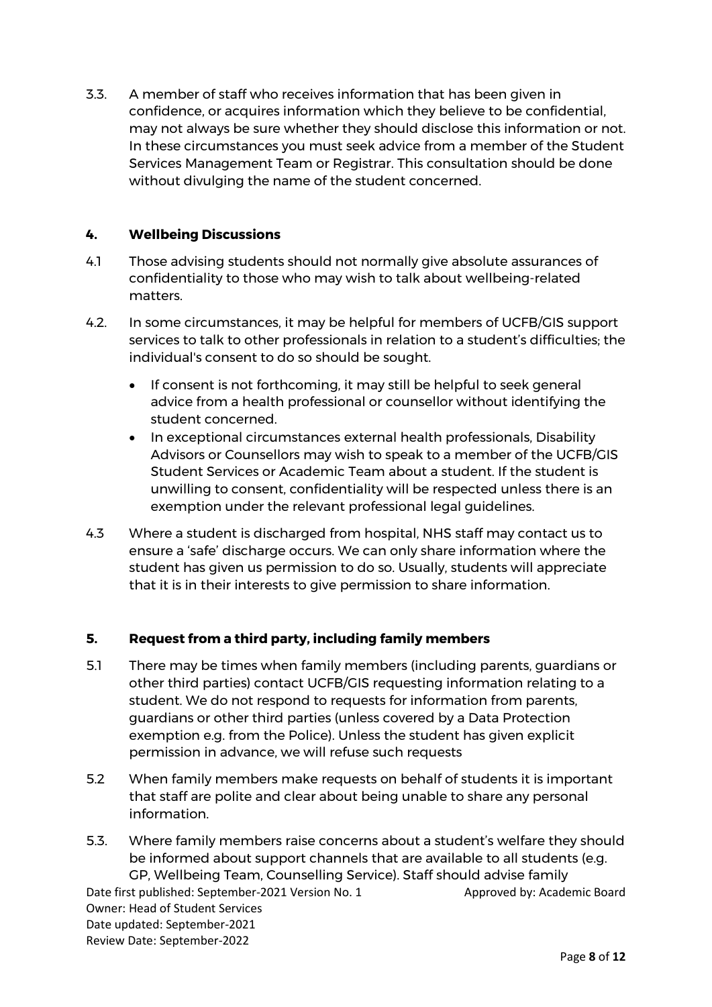3.3. A member of staff who receives information that has been given in confidence, or acquires information which they believe to be confidential, may not always be sure whether they should disclose this information or not. In these circumstances you must seek advice from a member of the Student Services Management Team or Registrar. This consultation should be done without divulging the name of the student concerned.

## **4. Wellbeing Discussions**

- 4.1 Those advising students should not normally give absolute assurances of confidentiality to those who may wish to talk about wellbeing-related matters.
- 4.2. In some circumstances, it may be helpful for members of UCFB/GIS support services to talk to other professionals in relation to a student's difficulties; the individual's consent to do so should be sought.
	- If consent is not forthcoming, it may still be helpful to seek general advice from a health professional or counsellor without identifying the student concerned.
	- In exceptional circumstances external health professionals, Disability Advisors or Counsellors may wish to speak to a member of the UCFB/GIS Student Services or Academic Team about a student. If the student is unwilling to consent, confidentiality will be respected unless there is an exemption under the relevant professional legal guidelines.
- 4.3 Where a student is discharged from hospital, NHS staff may contact us to ensure a 'safe' discharge occurs. We can only share information where the student has given us permission to do so. Usually, students will appreciate that it is in their interests to give permission to share information.

# **5. Request from a third party, including family members**

- 5.1 There may be times when family members (including parents, guardians or other third parties) contact UCFB/GIS requesting information relating to a student. We do not respond to requests for information from parents, guardians or other third parties (unless covered by a Data Protection exemption e.g. from the Police). Unless the student has given explicit permission in advance, we will refuse such requests
- 5.2 When family members make requests on behalf of students it is important that staff are polite and clear about being unable to share any personal information.
- Date first published: September-2021 Version No. 1 Approved by: Academic Board 5.3. Where family members raise concerns about a student's welfare they should be informed about support channels that are available to all students (e.g. GP, Wellbeing Team, Counselling Service). Staff should advise family

Owner: Head of Student Services Date updated: September-2021 Review Date: September-2022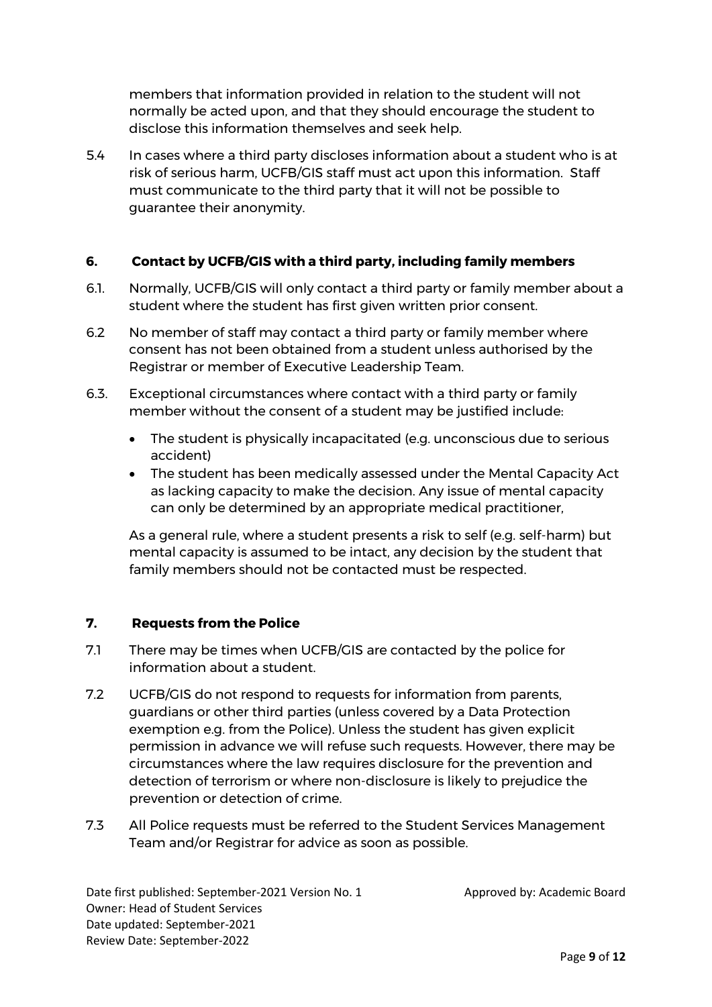members that information provided in relation to the student will not normally be acted upon, and that they should encourage the student to disclose this information themselves and seek help.

5.4 In cases where a third party discloses information about a student who is at risk of serious harm, UCFB/GIS staff must act upon this information. Staff must communicate to the third party that it will not be possible to guarantee their anonymity.

## **6. Contact by UCFB/GIS with a third party, including family members**

- 6.1. Normally, UCFB/GIS will only contact a third party or family member about a student where the student has first given written prior consent.
- 6.2 No member of staff may contact a third party or family member where consent has not been obtained from a student unless authorised by the Registrar or member of Executive Leadership Team.
- 6.3. Exceptional circumstances where contact with a third party or family member without the consent of a student may be justified include:
	- The student is physically incapacitated (e.g. unconscious due to serious accident)
	- The student has been medically assessed under the Mental Capacity Act as lacking capacity to make the decision. Any issue of mental capacity can only be determined by an appropriate medical practitioner,

As a general rule, where a student presents a risk to self (e.g. self-harm) but mental capacity is assumed to be intact, any decision by the student that family members should not be contacted must be respected.

# **7. Requests from the Police**

- 7.1 There may be times when UCFB/GIS are contacted by the police for information about a student.
- 7.2 UCFB/GIS do not respond to requests for information from parents, guardians or other third parties (unless covered by a Data Protection exemption e.g. from the Police). Unless the student has given explicit permission in advance we will refuse such requests. However, there may be circumstances where the law requires disclosure for the prevention and detection of terrorism or where non-disclosure is likely to prejudice the prevention or detection of crime.
- 7.3 All Police requests must be referred to the Student Services Management Team and/or Registrar for advice as soon as possible.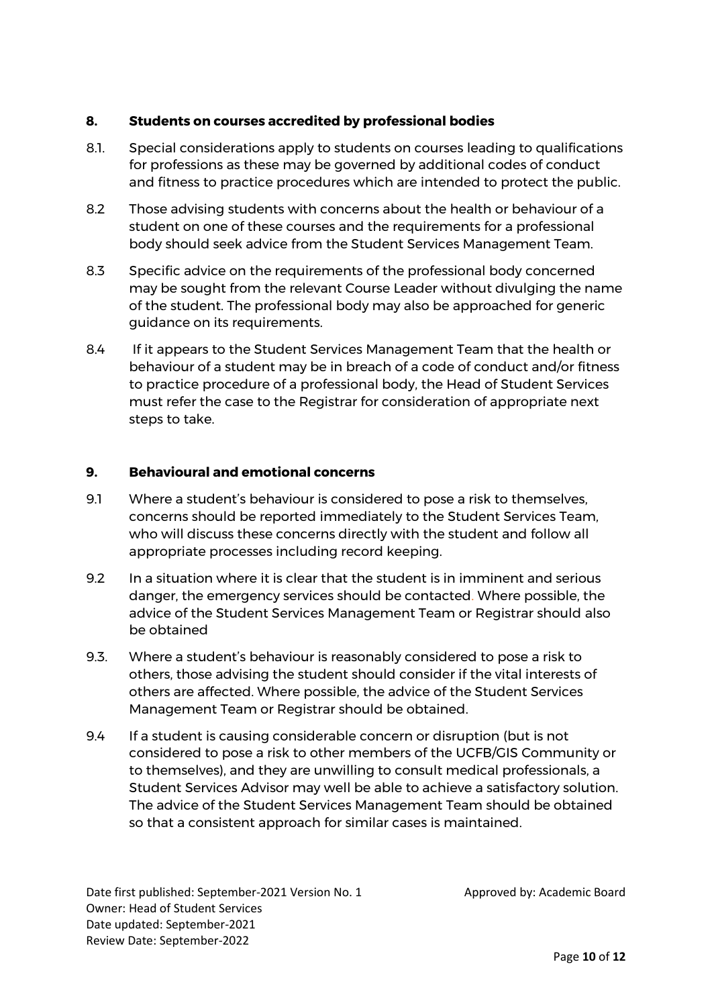# **8. Students on courses accredited by professional bodies**

- 8.1. Special considerations apply to students on courses leading to qualifications for professions as these may be governed by additional codes of conduct and fitness to practice procedures which are intended to protect the public.
- 8.2 Those advising students with concerns about the health or behaviour of a student on one of these courses and the requirements for a professional body should seek advice from the Student Services Management Team.
- 8.3 Specific advice on the requirements of the professional body concerned may be sought from the relevant Course Leader without divulging the name of the student. The professional body may also be approached for generic guidance on its requirements.
- 8.4 If it appears to the Student Services Management Team that the health or behaviour of a student may be in breach of a code of conduct and/or fitness to practice procedure of a professional body, the Head of Student Services must refer the case to the Registrar for consideration of appropriate next steps to take.

# **9. Behavioural and emotional concerns**

- 9.1 Where a student's behaviour is considered to pose a risk to themselves, concerns should be reported immediately to the Student Services Team, who will discuss these concerns directly with the student and follow all appropriate processes including record keeping.
- 9.2 In a situation where it is clear that the student is in imminent and serious danger, the emergency services should be contacted. Where possible, the advice of the Student Services Management Team or Registrar should also be obtained
- 9.3. Where a student's behaviour is reasonably considered to pose a risk to others, those advising the student should consider if the vital interests of others are affected. Where possible, the advice of the Student Services Management Team or Registrar should be obtained.
- 9.4 If a student is causing considerable concern or disruption (but is not considered to pose a risk to other members of the UCFB/GIS Community or to themselves), and they are unwilling to consult medical professionals, a Student Services Advisor may well be able to achieve a satisfactory solution. The advice of the Student Services Management Team should be obtained so that a consistent approach for similar cases is maintained.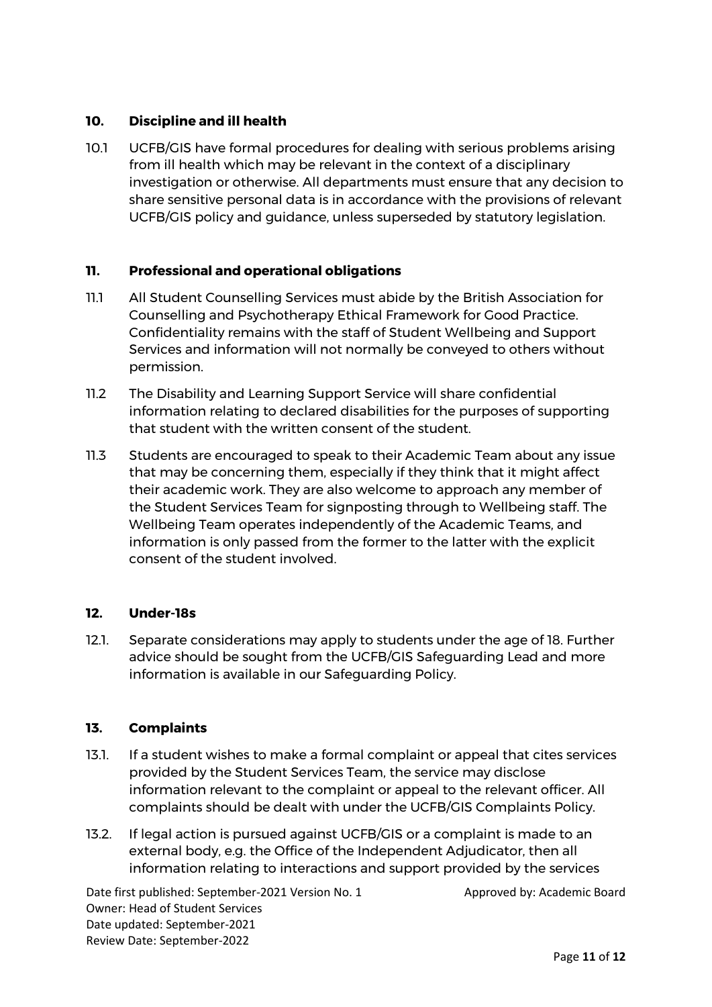# **10. Discipline and ill health**

10.1 UCFB/GIS have formal procedures for dealing with serious problems arising from ill health which may be relevant in the context of a disciplinary investigation or otherwise. All departments must ensure that any decision to share sensitive personal data is in accordance with the provisions of relevant UCFB/GIS policy and guidance, unless superseded by statutory legislation.

## **11. Professional and operational obligations**

- 11.1 All Student Counselling Services must abide by the British Association for Counselling and Psychotherapy Ethical Framework for Good Practice. Confidentiality remains with the staff of Student Wellbeing and Support Services and information will not normally be conveyed to others without permission.
- 11.2 The Disability and Learning Support Service will share confidential information relating to declared disabilities for the purposes of supporting that student with the written consent of the student.
- 11.3 Students are encouraged to speak to their Academic Team about any issue that may be concerning them, especially if they think that it might affect their academic work. They are also welcome to approach any member of the Student Services Team for signposting through to Wellbeing staff. The Wellbeing Team operates independently of the Academic Teams, and information is only passed from the former to the latter with the explicit consent of the student involved.

#### **12. Under-18s**

12.1. Separate considerations may apply to students under the age of 18. Further advice should be sought from the UCFB/GIS Safeguarding Lead and more information is available in our Safeguarding Policy.

# **13. Complaints**

- 13.1. If a student wishes to make a formal complaint or appeal that cites services provided by the Student Services Team, the service may disclose information relevant to the complaint or appeal to the relevant officer. All complaints should be dealt with under the UCFB/GIS Complaints Policy.
- 13.2. If legal action is pursued against UCFB/GIS or a complaint is made to an external body, e.g. the Office of the Independent Adjudicator, then all information relating to interactions and support provided by the services